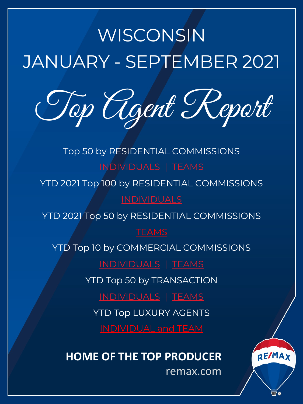# <span id="page-0-0"></span>WISCONSIN JANUARY - SEPTEMBER 2021

Top [Agen](#page-1-0)t [R](#page-3-0)eport

Top 50 by RESIDENTIAL COMMISSIONS INDI[VIDUALS](#page-5-0) | TEAMS

YTD 2021 Top 100 by RESIDENTIAL COMMISSIONS

YTD 2021 To[p 50 by RESIDE](#page-11-0)N[TIAL CO](#page-12-0)MMISSIONS

**TEAMS** 

YTD Top 10 by COMMERCIAL COMMISSIONS

[INDIVIDUALS](#page-13-0) | [TEAMS](#page-15-0)

YT[D Top 50 by TRANSACTIO](#page-17-0)N

INDIVIDUALS | TEAMS

YTD Top LUXURY AGENTS

**HOME OF THE TOP PRODUCER**

remax.com

RE/MAX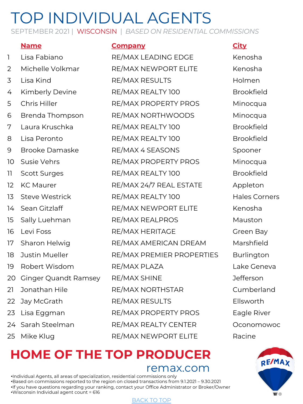SEPTEMBER 2021 | WISCONSIN | *BASED ON RESIDENTIAL COMMISSIONS*

### **Name Company City**

1 Lisa Fabiano RE/MAX LEADING EDGE Kenosha 2 Michelle Volkmar RE/MAX NEWPORT ELITE Kenosha 3 Lisa Kind RE/MAX RESULTS Holmen 4 Kimberly Devine RE/MAX REALTY 100 Brookfield 5 Chris Hiller RE/MAX PROPERTY PROS Minocqua 6 Brenda Thompson RE/MAX NORTHWOODS Minocqua 7 Laura Kruschka RE/MAX REALTY 100 Brookfield 8 Lisa Peronto RE/MAX REALTY 100 Brookfield 9 Brooke Damaske RE/MAX 4 SEASONS Spooner 10 Susie Vehrs **RE/MAX PROPERTY PROS** Minocqua 11 Scott Surges RE/MAX REALTY 100 Brookfield 12 KC Maurer RE/MAX 24/7 REAL ESTATE Appleton 13 Steve Westrick RE/MAX REALTY 100 Hales Corners 14 Sean Gitzlaff RE/MAX NEWPORT ELITE Kenosha 15 Sally Luehman RE/MAX REALPROS Mauston 16 Levi Foss **RE/MAX HERITAGE** Green Bay 17 Sharon Helwig RE/MAX AMERICAN DREAM Marshfield 18 Justin Mueller RE/MAX PREMIER PROPERTIES Burlington 19 Robert Wisdom RE/MAX PLAZA Lake Geneva 20 Ginger Quandt Ramsey RE/MAX SHINE THE MASS Defferson 21 Jonathan Hile RE/MAX NORTHSTAR Cumberland 22 Jay McGrath RE/MAX RESULTS Ellsworth 23 Lisa Eggman RE/MAX PROPERTY PROS Eagle River 24 Sarah Steelman RE/MAX REALTY CENTER Oconomowoc 25 Mike Klug RE/MAX NEWPORT ELITE Racine

<span id="page-1-0"></span>

## **HOME OF THE TO[P PROD](#page-0-0)UCER** remax.com

•Individual Agents, all areas of specialization, residential commissions only •Based on commissions reported to the region on closed transactions from 9.1.2021 – 9.30.2021 •If you have questions regarding your ranking, contact your Office Administrator or Broker/Owner •Wisconsin Individual agent count = 616

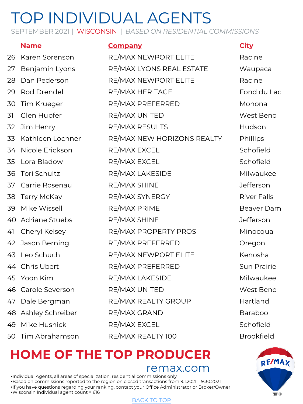SEPTEMBER 2021 | WISCONSIN | *BASED ON RESIDENTIAL COMMISSIONS*

## **Name Company City** 26 Karen Sorenson RE/MAX NEWPORT ELITE Racine 27 Benjamin Lyons RE/MAX LYONS REAL ESTATE Waupaca 28 Dan Pederson RE/MAX NEWPORT ELITE Racine 29 Rod Drendel RE/MAX HERITAGE Fond du Lac 30 Tim Krueger RE/MAX PREFERRED Monona 31 Glen Hupfer RE/MAX UNITED West Bend 32 Jim Henry RE/MAX RESULTS Hudson 33 Kathleen Lochner RE/MAX NEW HORIZONS REALTY Phillips 34 Nicole Erickson RE/MAX EXCEL Schofield 35 Lora Bladow RE/MAX EXCEL Schofield 36 Tori Schultz RE/MAX LAKESIDE Milwaukee 37 Carrie Rosenau RE/MAX SHINE Jefferson 38 Terry McKay **RE/MAX SYNERGY** River Falls 39 Mike Wissell RE/MAX PRIME Beaver Dam 40 Adriane Stuebs RE/MAX SHINE Jefferson 41 Cheryl Kelsey **RE/MAX PROPERTY PROS** Minocqua 42 Jason Berning **RE/MAX PREFERRED Oregon** 43 Leo Schuch RE/MAX NEWPORT ELITE Kenosha 44 Chris Ubert **RE/MAX PREFERRED** Sun Prairie 45 Yoon Kim RE/MAX LAKESIDE Milwaukee 46 Carole Severson RE/MAX UNITED West Bend 47 Dale Bergman RE/MAX REALTY GROUP Hartland 48 Ashley Schreiber RE/MAX GRAND Baraboo 49 Mike Husnick RE/MAX EXCEL Schofield 50 Tim Abrahamson RE/MAX REALTY 100 Brookfield

# **HOME OF THE TO[P PROD](#page-0-0)UCER**

remax.com

•Individual Agents, all areas of specialization, residential commissions only •Based on commissions reported to the region on closed transactions from 9.1.2021 – 9.30.2021 •If you have questions regarding your ranking, contact your Office Administrator or Broker/Owner •Wisconsin Individual agent count = 616

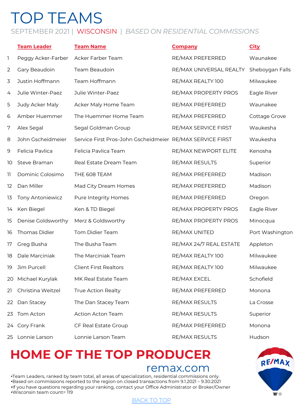# <span id="page-3-0"></span>TOP TEAMS

### SEPTEMBER 2021 | WISCONSIN | *BASED ON RESIDENTIAL COMMISSIONS*

|                | <b>Team Leader</b> | <b>Team Name</b>                                          | <b>Company</b>          | <b>City</b>     |
|----------------|--------------------|-----------------------------------------------------------|-------------------------|-----------------|
| 1              | Peggy Acker-Farber | Acker Farber Team                                         | RE/MAX PREFERRED        | Waunakee        |
| $\overline{2}$ | Gary Beaudoin      | Team Beaudoin                                             | RE/MAX UNIVERSAL REALTY | Sheboygan Falls |
| 3              | Justin Hoffmann    | Team Hoffmann                                             | RE/MAX REALTY 100       | Milwaukee       |
| 4              | Julie Winter-Paez  | Julie Winter-Paez                                         | RE/MAX PROPERTY PROS    | Eagle River     |
| 5              | Judy Acker Maly    | Acker Maly Home Team                                      | RE/MAX PREFERRED        | Waunakee        |
| 6              | Amber Huemmer      | The Huemmer Home Team                                     | RE/MAX PREFERRED        | Cottage Grove   |
| 7              | Alex Segal         | Segal Goldman Group                                       | RE/MAX SERVICE FIRST    | Waukesha        |
| 8              | John Gscheidmeier  | Service First Pros-John Gscheidmeier RE/MAX SERVICE FIRST |                         | Waukesha        |
| 9              | Felicia Pavlica    | Felicia Pavlica Team                                      | RE/MAX NEWPORT ELITE    | Kenosha         |
| 10             | Steve Braman       | Real Estate Dream Team                                    | RE/MAX RESULTS          | Superior        |
| 11             | Dominic Colosimo   | THE 608 TEAM                                              | RE/MAX PREFERRED        | Madison         |
| 12             | Dan Miller         | Mad City Dream Homes                                      | RE/MAX PREFERRED        | Madison         |
| 13             | Tony Antoniewicz   | Pure Integrity Homes                                      | RE/MAX PREFERRED        | Oregon          |
| 14             | Ken Biegel         | Ken & TD Biegel                                           | RE/MAX PROPERTY PROS    | Eagle River     |
| 15             | Denise Goldsworthy | Merz & Goldsworthy                                        | RE/MAX PROPERTY PROS    | Minocqua        |
| 16             | Thomas Didier      | Tom Didier Team                                           | RE/MAX UNITED           | Port Washington |
| 17             | Greg Busha         | The Busha Team                                            | RE/MAX 24/7 REAL ESTATE | Appleton        |
| 18             | Dale Marciniak     | The Marciniak Team                                        | RE/MAX REALTY 100       | Milwaukee       |
| 19             | Jim Purcell        | <b>Client First Realtors</b>                              | RE/MAX REALTY 100       | Milwaukee       |
| 20             | Michael Kurylak    | MK Real Estate Team                                       | RE/MAX EXCEL            | Schofield       |
| 21             | Christina Weitzel  | <b>True Action Realty</b>                                 | RE/MAX PREFERRED        | Monona          |
| 22             | Dan Stacey         | The Dan Stacey Team                                       | RE/MAX RESULTS          | La Crosse       |
| 23             | Tom Acton          | Action Acton Team                                         | RE/MAX RESULTS          | Superior        |
|                | 24 Cory Frank      | CF Real Estate Group                                      | RE/MAX PREFERRED        | Monona          |
|                | 25 Lonnie Larson   | Lonnie Larson Team                                        | RE/MAX RESULTS          | Hudson          |

## **HOME OF THE TO[P PROD](#page-0-0)UCER**

### remax.com

•Team Leaders, ranked by team total, all areas of specialization, residential commissions only. •Based on commissions reported to the region on closed transactions from 9.1.2021 – 9.30.2021 •If you have questions regarding your ranking, contact your Office Administrator or Broker/Owner •Wisconsin team count= 119

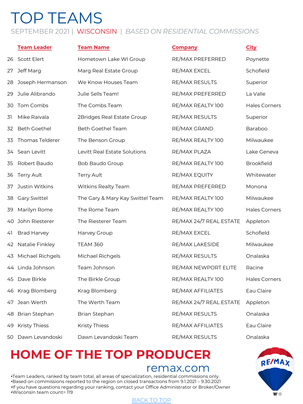# TOP TEAMS

### SEPTEMBER 2021 | WISCONSIN | *BASED ON RESIDENTIAL COMMISSIONS*

|    | <b>Team Leader</b>   | <b>Team Name</b>                 | <b>Company</b>          | <b>City</b>          |
|----|----------------------|----------------------------------|-------------------------|----------------------|
| 26 | <b>Scott Elert</b>   | Hometown Lake WI Group           | RE/MAX PREFERRED        | Poynette             |
| 27 | Jeff Marg            | Marg Real Estate Group           | RE/MAX EXCEL            | Schofield            |
| 28 | Joseph Hermanson     | We Know Houses Team              | RE/MAX RESULTS          | Superior             |
| 29 | Julie Alibrando      | Julie Sells Team!                | RE/MAX PREFERRED        | La Valle             |
| 30 | Tom Combs            | The Combs Team                   | RE/MAX REALTY 100       | <b>Hales Corners</b> |
| 31 | Mike Raivala         | 2Bridges Real Estate Group       | RE/MAX RESULTS          | Superior             |
| 32 | <b>Beth Goethel</b>  | Beth Goethel Team                | RE/MAX GRAND            | Baraboo              |
| 33 | Thomas Telderer      | The Benson Group                 | RE/MAX REALTY 100       | Milwaukee            |
| 34 | Sean Levitt          | Levitt Real Estate Solutions     | RE/MAX PLAZA            | Lake Geneva          |
| 35 | Robert Baudo         | Bob Baudo Group                  | RE/MAX REALTY 100       | <b>Brookfield</b>    |
| 36 | <b>Terry Ault</b>    | <b>Terry Ault</b>                | RE/MAX EQUITY           | Whitewater           |
| 37 | Justin Witkins       | Witkins Realty Team              | RE/MAX PREFERRED        | Monona               |
| 38 | <b>Gary Swittel</b>  | The Gary & Mary Kay Swittel Team | RE/MAX REALTY 100       | Milwaukee            |
| 39 | Marilyn Rome         | The Rome Team                    | RE/MAX REALTY 100       | <b>Hales Corners</b> |
| 40 | John Riesterer       | The Riesterer Team               | RE/MAX 24/7 REAL ESTATE | Appleton             |
| 41 | <b>Brad Harvey</b>   | Harvey Group                     | RE/MAX EXCEL            | Schofield            |
|    | 42 Natalie Finkley   | <b>TEAM 360</b>                  | RE/MAX LAKESIDE         | Milwaukee            |
| 43 | Michael Richgels     | Michael Richgels                 | RE/MAX RESULTS          | Onalaska             |
|    | 44 Linda Johnson     | Team Johnson                     | RE/MAX NEWPORT ELITE    | Racine               |
| 45 | Dave Birkle          | The Birkle Group                 | RE/MAX REALTY 100       | <b>Hales Corners</b> |
|    | 46 Krag Blomberg     | Krag Blomberg                    | RE/MAX AFFILIATES       | Eau Claire           |
|    | 47 Jean Werth        | The Werth Team                   | RE/MAX 24/7 REAL ESTATE | Appleton             |
| 48 | Brian Stephan        | Brian Stephan                    | RE/MAX RESULTS          | Onalaska             |
| 49 | <b>Kristy Thiess</b> | Kristy Thiess                    | RE/MAX AFFILIATES       | Eau Claire           |
| 50 | Dawn Levandoski      | Dawn Levandoski Team             | RE/MAX RESULTS          | Onalaska             |

## **HOME OF THE TO[P PROD](#page-0-0)UCER**

### remax.com

•Team Leaders, ranked by team total, all areas of specialization, residential commissions only. •Based on commissions reported to the region on closed transactions from 9.1.2021 – 9.30.2021 •If you have questions regarding your ranking, contact your Office Administrator or Broker/Owner •Wisconsin team count= 119

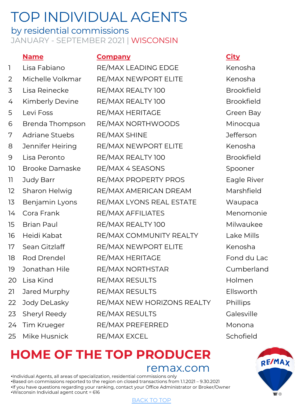### <span id="page-5-0"></span>by residential commissions JANUARY - SEPTEMBER 2021 | WISCONSIN

### **Name Company City** 1 Lisa Fabiano RE/MAX LEADING EDGE Kenosha 2 Michelle Volkmar RE/MAX NEWPORT ELITE Kenosha 3 Lisa Reinecke RE/MAX REALTY 100 Brookfield 4 Kimberly Devine RE/MAX REALTY 100 5 Levi Foss RE/MAX HERITAGE Green Bay 6 Brenda Thompson RE/MAX NORTHWOODS Minocqua 7 Adriane Stuebs RE/MAX SHINE Jefferson 8 Jennifer Heiring RE/MAX NEWPORT ELITE Kenosha 9 Lisa Peronto RE/MAX REALTY 100 Brookfield 10 Brooke Damaske RE/MAX 4 SEASONS Spooner 11 Judy Barr RE/MAX PROPERTY PROS Eagle River 12 Sharon Helwig RE/MAX AMERICAN DREAM Marshfield 13 Benjamin Lyons RE/MAX LYONS REAL ESTATE Waupaca 14 Cora Frank RE/MAX AFFILIATES Menomonie 15 Brian Paul RE/MAX REALTY 100 Milwaukee 16 Heidi Kabat RE/MAX COMMUNITY REALTY Lake Mills 17 Sean Gitzlaff RE/MAX NEWPORT ELITE Kenosha 18 Rod Drendel RE/MAX HERITAGE Fond du Lac 19 Jonathan Hile RE/MAX NORTHSTAR Cumberland 20 Lisa Kind RE/MAX RESULTS Holmen 21 Jared Murphy RE/MAX RESULTS Ellsworth 22 Jody DeLasky RE/MAX NEW HORIZONS REALTY Phillips 23 Sheryl Reedy RE/MAX RESULTS Calesville 24 Tim Krueger RE/MAX PREFERRED Monona 25 Mike Husnick RE/MAX EXCEL Schofield

# **HOME OF THE TO[P PROD](#page-0-0)UCER**

remax.com

•Individual Agents, all areas of specialization, residential commissions only •Based on commissions reported to the region on closed transactions from 1.1.2021 – 9.30.2021 •If you have questions regarding your ranking, contact your Office Administrator or Broker/Owner •Wisconsin Individual agent count = 616

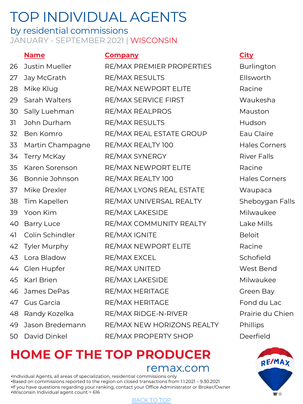### by residential commissions JANUARY - SEPTEMBER 2021 | WISCONSIN

### **Name Company City**

| 26 | Justin Mueller      | RE/MAX PREMIER PROPERTIES  | <b>Burlingtc</b>  |
|----|---------------------|----------------------------|-------------------|
| 27 | Jay McGrath         | <b>RE/MAX RESULTS</b>      | Ellsworth         |
| 28 | Mike Klug           | RE/MAX NEWPORT ELITE       | Racine            |
| 29 | Sarah Walters       | RE/MAX SERVICE FIRST       | Waukesh           |
| 30 | Sally Luehman       | <b>RE/MAX REALPROS</b>     | Mauston           |
| 31 | John Durham         | RE/MAX RESULTS             | Hudson            |
| 32 | Ben Komro           | RE/MAX REAL ESTATE GROUP   | Eau Claire        |
| 33 | Martin Champagne    | RE/MAX REALTY 100          | Hales Cor         |
| 34 | <b>Terry McKay</b>  | RE/MAX SYNERGY             | <b>River Fall</b> |
| 35 | Karen Sorenson      | RE/MAX NEWPORT ELITE       | Racine            |
| 36 | Bonnie Johnson      | RE/MAX REALTY 100          | Hales Cor         |
| 37 | Mike Drexler        | RE/MAX LYONS REAL ESTATE   | Waupaca           |
| 38 | Tim Kapellen        | RE/MAX UNIVERSAL REALTY    | Sheboyga          |
| 39 | Yoon Kim            | RE/MAX LAKESIDE            | Milwauke          |
| 40 | <b>Barry Luce</b>   | RE/MAX COMMUNITY REALTY    | Lake Mills        |
| 41 | Colin Schindler     | RE/MAX IGNITE              | <b>Beloit</b>     |
| 42 | <b>Tyler Murphy</b> | RE/MAX NEWPORT ELITE       | Racine            |
| 43 | Lora Bladow         | RE/MAX EXCEL               | Schofield         |
|    | 44 Glen Hupfer      | RE/MAX UNITED              | West Ber          |
| 45 | Karl Brien          | RE/MAX LAKESIDE            | Milwauke          |
| 46 | James DePas         | RE/MAX HERITAGE            | Green Ba          |
|    | 47 Gus Garcia       | RE/MAX HERITAGE            | Fond du I         |
|    | 48 Randy Kozelka    | RE/MAX RIDGE-N-RIVER       | Prairie du        |
| 49 | Jason Bredemann     | RE/MAX NEW HORIZONS REALTY | Phillips          |
| 50 | David Dinkel        | RE/MAX PROPERTY SHOP       | Deerfield         |

**Burlington** Waukesha Eau Claire Hales Corners **River Falls** Hales Corners Waupaca Sheboygan Falls Milwaukee Lake Mills **West Bend** Milwaukee Green Bay Fond du Lac Prairie du Chien

# **HOME OF THE TO[P PROD](#page-0-0)UCER**

remax.com

•Individual Agents, all areas of specialization, residential commissions only •Based on commissions reported to the region on closed transactions from 1.1.2021 – 9.30.2021 •If you have questions regarding your ranking, contact your Office Administrator or Broker/Owner •Wisconsin Individual agent count = 616

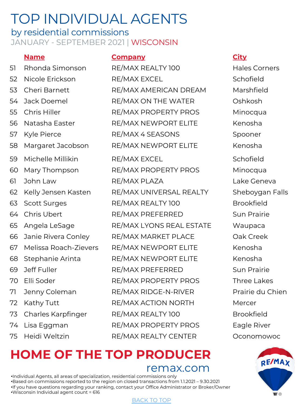### by residential commissions JANUARY - SEPTEMBER 2021 | WISCONSIN

### **Name Company City**

51 Rhonda Simonson RE/MAX REALTY 100 Hales Corners 52 Nicole Erickson RE/MAX EXCEL Schofield 53 Cheri Barnett RE/MAX AMERICAN DREAM Marshfield 54 Jack Doemel RE/MAX ON THE WATER Oshkosh 55 Chris Hiller RE/MAX PROPERTY PROS Minocqua 56 Natasha Easter RE/MAX NEWPORT ELITE Kenosha 57 Kyle Pierce RE/MAX 4 SEASONS Spooner 58 Margaret Jacobson RE/MAX NEWPORT ELITE Kenosha 59 Michelle Millikin RE/MAX EXCEL Schofield 60 Mary Thompson RE/MAX PROPERTY PROS Minocqua 61 John Law RE/MAX PLAZA Lake Geneva 62 Kelly Jensen Kasten RE/MAX UNIVERSAL REALTY Sheboygan Falls 63 Scott Surges RE/MAX REALTY 100 Brookfield 64 Chris Ubert RE/MAX PREFERRED Sun Prairie 65 Angela LeSage RE/MAX LYONS REAL ESTATE Waupaca 66 Janie Rivera Conley RE/MAX MARKET PLACE Cak Creek 67 Melissa Roach-Zievers RE/MAX NEWPORT ELITE Kenosha 68 Stephanie Arinta RE/MAX NEWPORT ELITE Kenosha 69 Jeff Fuller RE/MAX PREFERRED Sun Prairie 70 Elli Soder RE/MAX PROPERTY PROS Three Lakes 71 Jenny Coleman RE/MAX RIDGE-N-RIVER Prairie du Chien 72 Kathy Tutt **RE/MAX ACTION NORTH** Mercer 73 Charles Karpfinger RE/MAX REALTY 100 Brookfield 74 Lisa Eggman RE/MAX PROPERTY PROS Eagle River 75 Heidi Weltzin RE/MAX REALTY CENTER Oconomowoc

## **HOME OF THE TO[P PROD](#page-0-0)UCER** remax.com

•Individual Agents, all areas of specialization, residential commissions only •Based on commissions reported to the region on closed transactions from 1.1.2021 – 9.30.2021 •If you have questions regarding your ranking, contact your Office Administrator or Broker/Owner •Wisconsin Individual agent count = 616

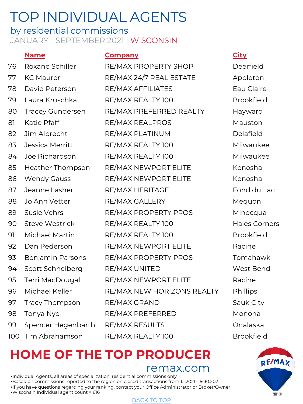### by residential commissions JANUARY - SEPTEMBER 2021 | WISCONSIN

### **Name Company City**

| 76  | Roxane Schiller         | RE/MAX PROPERTY SHOP       | Deerfield         |
|-----|-------------------------|----------------------------|-------------------|
| 77  | <b>KC Maurer</b>        | RE/MAX 24/7 REAL ESTATE    | Appleton          |
| 78  | David Peterson          | RE/MAX AFFILIATES          | Eau Claire        |
| 79  | Laura Kruschka          | RE/MAX REALTY 100          | Brookfield        |
| 80  | <b>Tracey Gundersen</b> | RE/MAX PREFERRED REALTY    | Hayward           |
| 81  | Katie Pfaff             | RE/MAX REALPROS            | Mauston           |
| 82  | Jim Albrecht            | RE/MAX PLATINUM            | Delafield         |
| 83  | Jessica Merritt         | RE/MAX REALTY 100          | Milwaukee         |
| 84  | Joe Richardson          | RE/MAX REALTY 100          | Milwaukee         |
| 85  | <b>Heather Thompson</b> | RE/MAX NEWPORT ELITE       | Kenosha           |
| 86  | <b>Wendy Gauss</b>      | RE/MAX NEWPORT ELITE       | Kenosha           |
| 87  | Jeanne Lasher           | RE/MAX HERITAGE            | Fond du L         |
| 88  | Jo Ann Vetter           | RE/MAX GALLERY             | Mequon            |
| 89  | Susie Vehrs             | RE/MAX PROPERTY PROS       | Minocqua          |
| 90  | <b>Steve Westrick</b>   | RE/MAX REALTY 100          | Hales Corr        |
| 91  | Michael Martin          | RE/MAX REALTY 100          | <b>Brookfield</b> |
| 92  | Dan Pederson            | RE/MAX NEWPORT ELITE       | Racine            |
| 93  | Benjamin Parsons        | RE/MAX PROPERTY PROS       | Tomahaw           |
| 94  | Scott Schneiberg        | RE/MAX UNITED              | West Ben          |
| 95  | Terri MacDougall        | RE/MAX NEWPORT ELITE       | Racine            |
| 96  | Michael Keller          | RE/MAX NEW HORIZONS REALTY | Phillips          |
| 97  | <b>Tracy Thompson</b>   | RE/MAX GRAND               | Sauk City         |
| 98  | Tonya Nye               | RE/MAX PREFERRED           | Monona            |
| 99  | Spencer Hegenbarth      | RE/MAX RESULTS             | Onalaska          |
| 100 | Tim Abrahamson          | RE/MAX REALTY 100          | <b>Brookfield</b> |

Deerfield Appleton Eau Claire **Brookfield** Hayward Milwaukee Milwaukee Fond du Lac Mequon Minocqua Hales Corners Tomahawk West Bend Sauk City **Brookfield** 

# **HOME OF THE TO[P PROD](#page-0-0)UCER**

remax.com

•Individual Agents, all areas of specialization, residential commissions only •Based on commissions reported to the region on closed transactions from 1.1.2021 – 9.30.2021 •If you have questions regarding your ranking, contact your Office Administrator or Broker/Owner •Wisconsin Individual agent count = 616

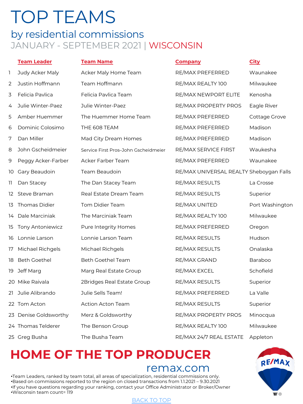## <span id="page-9-0"></span>TOP TEAMS by residential commissions JANUARY - SEPTEMBER 2021 | WISCONSIN

|     | <b>Team Leader</b>      | <b>Team Name</b>                     | <b>Company</b>                          | <b>City</b>     |
|-----|-------------------------|--------------------------------------|-----------------------------------------|-----------------|
| 1   | Judy Acker Maly         | Acker Maly Home Team                 | RE/MAX PREFERRED                        | Waunakee        |
| 2   | Justin Hoffmann         | Team Hoffmann                        | RE/MAX REALTY 100                       | Milwaukee       |
| 3   | Felicia Pavlica         | Felicia Pavlica Team                 | RE/MAX NEWPORT ELITE                    | Kenosha         |
| 4   | Julie Winter-Paez       | Julie Winter-Paez                    | RE/MAX PROPERTY PROS                    | Eagle River     |
| 5   | Amber Huemmer           | The Huemmer Home Team                | RE/MAX PREFERRED                        | Cottage Grove   |
| 6   | Dominic Colosimo        | THE 608 TEAM                         | RE/MAX PREFERRED                        | Madison         |
| 7   | Dan Miller              | Mad City Dream Homes                 | RE/MAX PREFERRED                        | Madison         |
| 8   | John Gscheidmeier       | Service First Pros-John Gscheidmeier | RE/MAX SERVICE FIRST                    | Waukesha        |
| 9   | Peggy Acker-Farber      | Acker Farber Team                    | RE/MAX PREFERRED                        | Waunakee        |
| 10  | Gary Beaudoin           | Team Beaudoin                        | RE/MAX UNIVERSAL REALTY Sheboygan Falls |                 |
| 11  | Dan Stacey              | The Dan Stacey Team                  | RE/MAX RESULTS                          | La Crosse       |
| 12. | Steve Braman            | Real Estate Dream Team               | RE/MAX RESULTS                          | Superior        |
| 13  | Thomas Didier           | Tom Didier Team                      | RE/MAX UNITED                           | Port Washington |
| 14  | Dale Marciniak          | The Marciniak Team                   | RE/MAX REALTY 100                       | Milwaukee       |
| 15  | <b>Tony Antoniewicz</b> | Pure Integrity Homes                 | RE/MAX PREFERRED                        | Oregon          |
| 16  | Lonnie Larson           | Lonnie Larson Team                   | <b>RE/MAX RESULTS</b>                   | Hudson          |
| 17  | Michael Richgels        | Michael Richgels                     | RE/MAX RESULTS                          | Onalaska        |
| 18  | <b>Beth Goethel</b>     | <b>Beth Goethel Team</b>             | RE/MAX GRAND                            | Baraboo         |
| 19  | Jeff Marg               | Marg Real Estate Group               | RE/MAX EXCEL                            | Schofield       |
|     | 20 Mike Raivala         | 2Bridges Real Estate Group           | RE/MAX RESULTS                          | Superior        |
|     | 21 Julie Alibrando      | Julie Sells Team!                    | RE/MAX PREFERRED                        | La Valle        |
|     | 22 Tom Acton            | <b>Action Acton Team</b>             | RE/MAX RESULTS                          | Superior        |
|     | 23 Denise Goldsworthy   | Merz & Goldsworthy                   | RE/MAX PROPERTY PROS                    | Minocqua        |
|     | 24 Thomas Telderer      | The Benson Group                     | RE/MAX REALTY 100                       | Milwaukee       |
|     | 25 Greg Busha           | The Busha Team                       | RE/MAX 24/7 REAL ESTATE                 | Appleton        |

## **HOME OF THE TO[P PROD](#page-0-0)UCER**

### remax.com

•Team Leaders, ranked by team total, all areas of specialization, residential commissions only. •Based on commissions reported to the region on closed transactions from 1.1.2021 – 9.30.2021 •If you have questions regarding your ranking, contact your Office Administrator or Broker/Owner •Wisconsin team count= 119

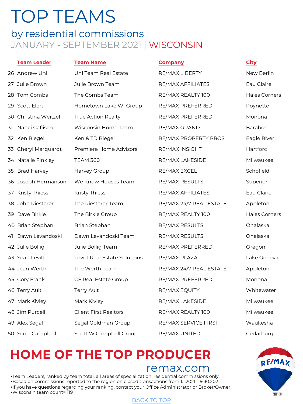# TOP TEAMS

## by residential commissions JANUARY - SEPTEMBER 2021 | WISCONSIN

### **Team Leader Team Name Company City**

26 Andrew Uhl Neam Real Estate All DE RE/MAX LIBERTY New Berlin 27 Julie Brown Julie Brown Team RE/MAX AFFILIATES Eau Claire 28 Tom Combs The Combs Team RE/MAX REALTY 100 Hales Corners 29 Scott Elert **Hometown Lake WI Group RE/MAX PREFERRED** Poynette 30 Christina Weitzel True Action Realty RE/MAX PREFERRED Monona 31 Nanci Caflisch Wisconsin Home Team RE/MAX GRAND Baraboo 32 Ken Biegel Ken & TD Biegel Retal RE/MAX PROPERTY PROS Eagle River 33 Cheryl Marquardt Premiere Home Advisors RE/MAX INSIGHT The Hartford 34 Natalie Finkley TEAM 360 RE/MAX LAKESIDE Milwaukee 35 Brad Harvey Harvey Group RE/MAX EXCEL Schofield 36 Joseph Hermanson Me Know Houses Team RE/MAX RESULTS Superior 37 Kristy Thiess Thiess Thiess RE/MAX AFFILIATES Eau Claire 38 John Riesterer The Riesterer Team TRE/MAX 24/7 REAL ESTATE Appleton 39 Dave Birkle The Birkle Group RE/MAX REALTY 100 Hales Corners 40 Brian Stephan and Brian Stephan and REMAX RESULTS Considers a Consideration on Brian Stephan 41 Dawn Levandoski Dawn Levandoski Team RE/MAX RESULTS Onalaska 42 Julie Bollig Julie Bollig Team RE/MAX PREFERRED Oregon 43 Sean Levitt **Levitt Real Estate Solutions** RE/MAX PLAZA **Lake Geneva** 44 Jean Werth The Werth Team The Team RE/MAX 24/7 REAL ESTATE Appleton 45 Cory Frank CF Real Estate Group TRE/MAX PREFERRED Monona 46 Terry Ault Terry Ault **Terry Ault Automater CE** RE/MAX EQUITY **Whitewater** 47 Mark Kivley **Mark Kivley Mark Kivley RE/MAX LAKESIDE** Milwaukee 48 Jim Purcell Client First Realtors RE/MAX REALTY 100 Milwaukee 49 Alex Segal Segal Goldman Group RE/MAX SERVICE FIRST Waukesha 50 Scott Campbell Scott W Campbell Group RE/MAX UNITED Cedarburg

# **HOME OF THE TO[P PROD](#page-0-0)UCER**

### remax.com

•Team Leaders, ranked by team total, all areas of specialization, residential commissions only. •Based on commissions reported to the region on closed transactions from 1.1.2021 – 9.30.2021 •If you have questions regarding your ranking, contact your Office Administrator or Broker/Owner •Wisconsin team count= 119

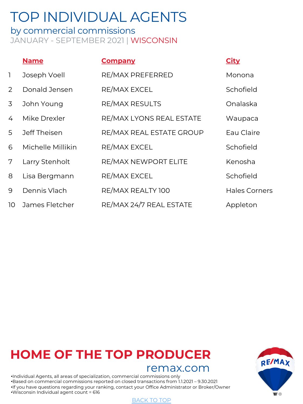### <span id="page-11-0"></span>by commercial commissions JANUARY - SEPTEMBER 2021 | WISCONSIN

|              | <b>Name</b>       | <b>Company</b>              | <b>City</b>          |
|--------------|-------------------|-----------------------------|----------------------|
| $\mathbf{1}$ | Joseph Voell      | RE/MAX PREFERRED            | Monona               |
| 2            | Donald Jensen     | RE/MAX EXCEL                | Schofield            |
| 3            | John Young        | <b>RE/MAX RESULTS</b>       | Onalaska             |
| 4            | Mike Drexler      | RE/MAX LYONS REAL ESTATE    | Waupaca              |
| 5            | Jeff Theisen      | RE/MAX REAL ESTATE GROUP    | Eau Claire           |
| 6            | Michelle Millikin | RE/MAX EXCEL                | Schofield            |
| 7            | Larry Stenholt    | <b>RE/MAX NEWPORT ELITE</b> | Kenosha              |
| 8            | Lisa Bergmann     | RE/MAX EXCEL                | Schofield            |
| 9            | Dennis Vlach      | RE/MAX REALTY 100           | <b>Hales Corners</b> |
| 10           | James Fletcher    | RE/MAX 24/7 REAL ESTATE     | Appleton             |

## **HOME OF THE TO[P PROD](#page-0-0)UCER**

### remax.com

•Individual Agents, all areas of specialization, commercial commissions only •Based on commercial commissions reported on closed transactions from 1.1.2021 – 9.30.2021 •If you have questions regarding your ranking, contact your Office Administrator or Broker/Owner •Wisconsin Individual agent count = 616

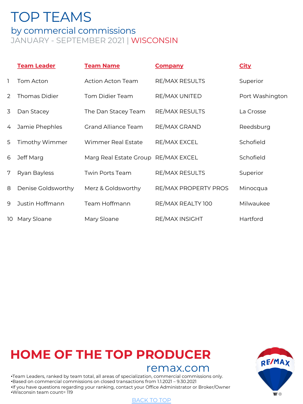## <span id="page-12-0"></span>TOP TEAMS by commercial commissions JANUARY - SEPTEMBER 2021 | WISCONSIN

|    | <b>Team Leader</b>    | <b>Team Name</b>           | <b>Company</b>        | <b>City</b>     |
|----|-----------------------|----------------------------|-----------------------|-----------------|
| ı  | Tom Acton             | <b>Action Acton Team</b>   | RE/MAX RESULTS        | Superior        |
| 2  | <b>Thomas Didier</b>  | Tom Didier Team            | RE/MAX UNITED         | Port Washington |
| 3  | Dan Stacey            | The Dan Stacey Team        | <b>RE/MAX RESULTS</b> | La Crosse       |
| 4  | Jamie Phephles        | <b>Grand Alliance Team</b> | RE/MAX GRAND          | Reedsburg       |
| 5  | <b>Timothy Wimmer</b> | Wimmer Real Estate         | RE/MAX EXCEL          | Schofield       |
| 6  | Jeff Marg             | Marg Real Estate Group     | RE/MAX EXCEL          | Schofield       |
| 7  | Ryan Bayless          | Twin Ports Team            | <b>RE/MAX RESULTS</b> | Superior        |
| 8  | Denise Goldsworthy    | Merz & Goldsworthy         | RE/MAX PROPERTY PROS  | Minocqua        |
| 9  | Justin Hoffmann       | Team Hoffmann              | RE/MAX REALTY 100     | Milwaukee       |
| 10 | Mary Sloane           | Mary Sloane                | RE/MAX INSIGHT        | Hartford        |

## **HOME OF THE TO[P PROD](#page-0-0)UCER**

### remax.com

•Team Leaders, ranked by team total, all areas of specialization, commercial commissions only. •Based on commercial commissions on closed transactions from 1.1.2021 – 9.30.2021 •If you have questions regarding your ranking, contact your Office Administrator or Broker/Owner •Wisconsin team count= 119

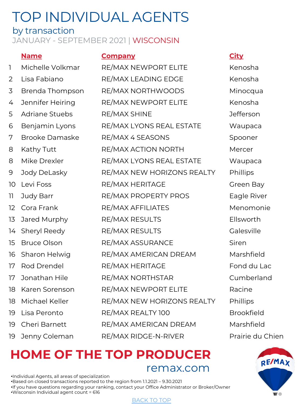### <span id="page-13-0"></span>by transaction JANUARY - SEPTEMBER 2021 | WISCONSIN

### **Name Company City**

| 1                 | Michelle Volkmar      | RE/MAX NEWPORT ELITE       | Kenosha           |
|-------------------|-----------------------|----------------------------|-------------------|
| $\overline{2}$    | Lisa Fabiano          | RE/MAX LEADING EDGE        | Kenosha           |
| 3                 | Brenda Thompson       | RE/MAX NORTHWOODS          | Minocqua          |
| 4                 | Jennifer Heiring      | RE/MAX NEWPORT ELITE       | Kenosha           |
| 5                 | <b>Adriane Stuebs</b> | RE/MAX SHINE               | Jefferson         |
| 6                 | Benjamin Lyons        | RE/MAX LYONS REAL ESTATE   | Waupaca           |
| 7                 | <b>Brooke Damaske</b> | RE/MAX 4 SEASONS           | Spooner           |
| 8                 | Kathy Tutt            | RE/MAX ACTION NORTH        | Mercer            |
| 8                 | Mike Drexler          | RE/MAX LYONS REAL ESTATE   | Waupaca           |
| 9                 | Jody DeLasky          | RE/MAX NEW HORIZONS REALTY | Phillips          |
| 10                | Levi Foss             | RE/MAX HERITAGE            | Green Bay         |
| 11                | Judy Barr             | RE/MAX PROPERTY PROS       | Eagle River       |
| $12 \overline{)}$ | Cora Frank            | RE/MAX AFFILIATES          | Menomonie         |
| 13                | Jared Murphy          | RE/MAX RESULTS             | Ellsworth         |
| 14                | Sheryl Reedy          | RE/MAX RESULTS             | Galesville        |
| 15                | <b>Bruce Olson</b>    | RE/MAX ASSURANCE           | Siren             |
| 16                | Sharon Helwig         | RE/MAX AMERICAN DREAM      | Marshfield        |
| 17                | Rod Drendel           | RE/MAX HERITAGE            | Fond du Lac       |
| 17                | Jonathan Hile         | RE/MAX NORTHSTAR           | Cumberland        |
| 18                | Karen Sorenson        | RE/MAX NEWPORT ELITE       | Racine            |
| 18                | Michael Keller        | RE/MAX NEW HORIZONS REALTY | Phillips          |
| 19                | Lisa Peronto          | RE/MAX REALTY 100          | <b>Brookfield</b> |
| 19                | Cheri Barnett         | RE/MAX AMERICAN DREAM      | Marshfield        |
| 19                | Jenny Coleman         | RE/MAX RIDGE-N-RIVER       | Prairie du Chien  |

## **HOME OF THE TO[P PROD](#page-0-0)UCER** remax.com

•Individual Agents, all areas of specialization •Based on closed transactions reported to the region from 1.1.2021 – 9.30.2021 •If you have questions regarding your ranking, contact your Office Administrator or Broker/Owner •Wisconsin Individual agent count = 616

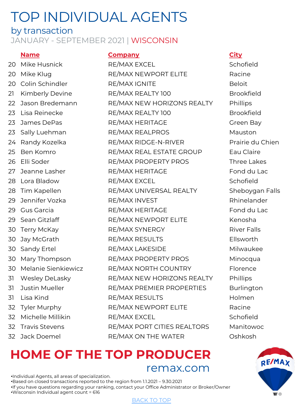## by transaction

### JANUARY - SEPTEMBER 2021 | WISCONSIN

### **Name Company City**

- 
- 
- 

20 Mike Husnick **RE/MAX EXCEL** Schofield 20 Mike Klug RE/MAX NEWPORT ELITE 20 Colin Schindler **RE/MAX IGNITE** Beloit 21 Kimberly Devine RE/MAX REALTY 100 Brookfield 22 Jason Bredemann RE/MAX NEW HORIZONS REALTY Phillips 23 Lisa Reinecke RE/MAX REALTY 100 Brookfield 23 James DePas **RE/MAX HERITAGE** Green Bay 23 Sally Luehman RE/MAX REALPROS Mauston 24 Randy Kozelka RE/MAX RIDGE-N-RIVER Prairie du Chien 25 Ben Komro RE/MAX REAL ESTATE GROUP Eau Claire 26 Elli Soder **RE/MAX PROPERTY PROS** Three Lakes 27 Jeanne Lasher **RE/MAX HERITAGE** Fond du Lac 28 Lora Bladow RE/MAX EXCEL Schofield 28 Tim Kapellen RE/MAX UNIVERSAL REALTY Sheboygan Falls 29 Jennifer Vozka **RE/MAX INVEST** Rhinelander 29 Gus Garcia RE/MAX HERITAGE Fond du Lac 29 Sean Gitzlaff RE/MAX NEWPORT ELITE Kenosha 30 Terry McKay RE/MAX SYNERGY River Falls 30 Jay McGrath RE/MAX RESULTS Ellsworth 30 Sandy Ertel **RE/MAX LAKESIDE** Milwaukee 30 Mary Thompson RE/MAX PROPERTY PROS Minocqua 30 Melanie Sienkiewicz RE/MAX NORTH COUNTRY Florence 31 Wesley DeLasky RE/MAX NEW HORIZONS REALTY Phillips 31 Justin Mueller RE/MAX PREMIER PROPERTIES Burlington 31 Lisa Kind RE/MAX RESULTS Holmen 32 Tyler Murphy RE/MAX NEWPORT ELITE Racine 32 Michelle Millikin RE/MAX EXCEL Schofield 32 Travis Stevens **RE/MAX PORT CITIES REALTORS** Manitowoc 32 Jack Doemel RE/MAX ON THE WATER Oshkosh

## **HOME OF THE TO[P PROD](#page-0-0)UCER** remax.com

•Individual Agents, all areas of specialization. •Based on closed transactions reported to the region from 1.1.2021 – 9.30.2021 •If you have questions regarding your ranking, contact your Office Administrator or Broker/Owner •Wisconsin Individual agent count = 616

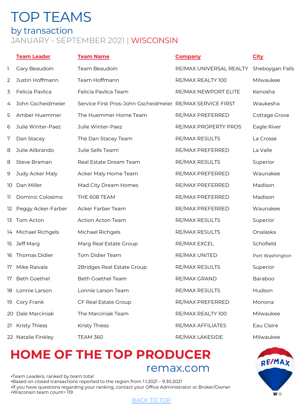## <span id="page-15-0"></span>TOP TEAMS by transaction JANUARY - SEPTEMBER 2021 | WISCONSIN

|     | <b>Team Leader</b>   | <b>Team Name</b>                                          | <b>Company</b>          | <b>City</b>     |
|-----|----------------------|-----------------------------------------------------------|-------------------------|-----------------|
| L   | Gary Beaudoin        | Team Beaudoin                                             | RE/MAX UNIVERSAL REALTY | Sheboygan Falls |
| 2   | Justin Hoffmann      | Team Hoffmann                                             | RE/MAX REALTY 100       | Milwaukee       |
| 3   | Felicia Pavlica      | Felicia Pavlica Team                                      | RE/MAX NEWPORT ELITE    | Kenosha         |
| 4   | John Gscheidmeier    | Service First Pros-John Gscheidmeier RE/MAX SERVICE FIRST |                         | Waukesha        |
| 5   | Amber Huemmer        | The Huemmer Home Team                                     | RE/MAX PREFERRED        | Cottage Grove   |
| 6   | Julie Winter-Paez    | Julie Winter-Paez                                         | RE/MAX PROPERTY PROS    | Eagle River     |
| 7   | Dan Stacey           | The Dan Stacey Team                                       | <b>RE/MAX RESULTS</b>   | La Crosse       |
| 8   | Julie Alibrando      | Julie Sells Team!                                         | RE/MAX PREFERRED        | La Valle        |
| 8   | Steve Braman         | Real Estate Dream Team                                    | RE/MAX RESULTS          | Superior        |
| 9   | Judy Acker Maly      | Acker Maly Home Team                                      | RE/MAX PREFERRED        | Waunakee        |
| 10  | Dan Miller           | Mad City Dream Homes                                      | RE/MAX PREFERRED        | Madison         |
| 11. | Dominic Colosimo     | THE 608 TEAM                                              | RE/MAX PREFERRED        | Madison         |
| 12  | Peggy Acker-Farber   | Acker Farber Team                                         | RE/MAX PREFERRED        | Waunakee        |
| 13  | Tom Acton            | <b>Action Acton Team</b>                                  | RE/MAX RESULTS          | Superior        |
| 14  | Michael Richgels     | Michael Richgels                                          | RE/MAX RESULTS          | Onalaska        |
| 15  | Jeff Marg            | Marg Real Estate Group                                    | RE/MAX EXCEL            | Schofield       |
| 16  | <b>Thomas Didier</b> | Tom Didier Team                                           | RE/MAX UNITED           | Port Washington |
| 17  | Mike Raivala         | 2Bridges Real Estate Group                                | RE/MAX RESULTS          | Superior        |
| 17  | <b>Beth Goethel</b>  | <b>Beth Goethel Team</b>                                  | RE/MAX GRAND            | <b>Baraboo</b>  |
| 18  | Lonnie Larson        | Lonnie Larson Team                                        | RE/MAX RESULTS          | Hudson          |
| 19  | Cory Frank           | CF Real Estate Group                                      | RE/MAX PREFERRED        | Monona          |
|     | 20 Dale Marciniak    | The Marciniak Team                                        | RE/MAX REALTY 100       | Milwaukee       |
| 21  | <b>Kristy Thiess</b> | <b>Kristy Thiess</b>                                      | RE/MAX AFFILIATES       | Eau Claire      |
|     | 22 Natalie Finkley   | <b>TEAM 360</b>                                           | RE/MAX LAKESIDE         | Milwaukee       |

## **HOME OF THE TO[P PROD](#page-0-0)UCER** remax.com

•Team Leaders, ranked by team total •Based on closed transactions reported to the region from 1.1.2021 – 9.30.2021 •If you have questions regarding your ranking, contact your Office Administrator or Broker/Owner •Wisconsin team count= 119

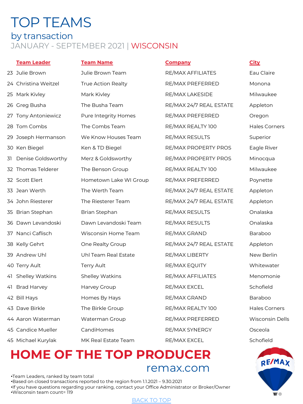## TOP TEAMS by transaction JANUARY - SEPTEMBER 2021 | WISCONSIN

23 Julie Brown **Markt Stratege Health Strateger Area** RE/MAX AFFILIATES Eau Claire 24 Christina Weitzel True Action Realty **RECONAX PREFERRED** Monona 25 Mark Kivley **Mark Kivley Mark Kivley RE/MAX LAKESIDE** Milwaukee 26 Greg Busha The Busha Team RE/MAX 24/7 REAL ESTATE Appleton 27 Tony Antoniewicz external pure Integrity Homes Antax PREFERRED Coregon 28 Tom Combs The Combs Team RE/MAX REALTY 100 Hales Corners 29 Joseph Hermanson Me Know Houses Team RE/MAX RESULTS Superior 30 Ken Biegel Ken & TD Biegel RE/MAX PROPERTY PROS Eagle River 31 Denise Goldsworthy Merz & Goldsworthy RE/MAX PROPERTY PROS Minocqua 32 Thomas Telderer The Benson Group **RE/MAX REALTY 100** Milwaukee 32 Scott Elert **Hometown Lake WI Group** RE/MAX PREFERRED Poynette 33 Jean Werth The Werth Team RE/MAX 24/7 REAL ESTATE Appleton 34 John Riesterer The Riesterer Team RE/MAX 24/7 REAL ESTATE Appleton 35 Brian Stephan Brian Stephan RE/MAX RESULTS Onalaska 36 Dawn Levandoski Dawn Levandoski Team RE/MAX RESULTS Onalaska 37 Nanci Caflisch Wisconsin Home Team RE/MAX GRAND Baraboo 38 Kelly Gehrt One Realty Group RE/MAX 24/7 REAL ESTATE Appleton 39 Andrew Uhl Uhl Team Real Estate RE/MAX LIBERTY New Berlin 40 Terry Ault Terry Ault Terry Ault RE/MAX EQUITY Whitewater 41 Shelley Watkins Shelley Watkins RE/MAX AFFILIATES Menomonie 41 Brad Harvey **Harvey Group Communist COMAX EXCEL** Schofield 42 Bill Hays **Homes By Hays** RE/MAX GRAND Baraboo 43 Dave Birkle The Birkle Group The RE/MAX REALTY 100 Hales Corners 44 Aaron Waterman Waterman Group RE/MAX PREFERRED Wisconsin Dells 45 Candice Mueller CandiHomes Canding RE/MAX SYNERGY Cosceola

**Team Leader Team Name Company City**

45 Michael Kurylak MK Real Estate Team RE/MAX EXCEL Schofield

## **HOME OF THE TO[P PROD](#page-0-0)UCER** remax.com

•Team Leaders, ranked by team total •Based on closed transactions reported to the region from 1.1.2021 – 9.30.2021 •If you have questions regarding your ranking, contact your Office Administrator or Broker/Owner •Wisconsin team count= 119